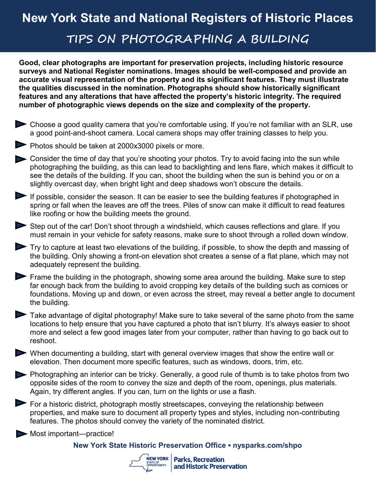## **New York State and National Registers of Historic Places TIPS ON PHOTOGRAPHING A BUILDING**

**Good, clear photographs are important for preservation projects, including historic resource surveys and National Register nominations. Images should be well-composed and provide an accurate visual representation of the property and its significant features. They must illustrate the qualities discussed in the nomination. Photographs should show historically significant features and any alterations that have affected the property's historic integrity. The required number of photographic views depends on the size and complexity of the property.** 

- Choose a good quality camera that you're comfortable using. If you're not familiar with an SLR, use a good point-and-shoot camera. Local camera shops may offer training classes to help you.
- Photos should be taken at 2000x3000 pixels or more.
- Consider the time of day that you're shooting your photos. Try to avoid facing into the sun while photographing the building, as this can lead to backlighting and lens flare, which makes it difficult to see the details of the building. If you can, shoot the building when the sun is behind you or on a slightly overcast day, when bright light and deep shadows won't obscure the details.
- If possible, consider the season. It can be easier to see the building features if photographed in spring or fall when the leaves are off the trees. Piles of snow can make it difficult to read features like roofing or how the building meets the ground.
- Step out of the car! Don't shoot through a windshield, which causes reflections and glare. If you must remain in your vehicle for safety reasons, make sure to shoot through a rolled down window.
- Try to capture at least two elevations of the building, if possible, to show the depth and massing of the building. Only showing a front-on elevation shot creates a sense of a flat plane, which may not adequately represent the building.
- Frame the building in the photograph, showing some area around the building. Make sure to step far enough back from the building to avoid cropping key details of the building such as cornices or foundations. Moving up and down, or even across the street, may reveal a better angle to document the building.
- Take advantage of digital photography! Make sure to take several of the same photo from the same locations to help ensure that you have captured a photo that isn't blurry. It's always easier to shoot more and select a few good images later from your computer, rather than having to go back out to reshoot.
- When documenting a building, start with general overview images that show the entire wall or elevation. Then document more specific features, such as windows, doors, trim, etc.
- Photographing an interior can be tricky. Generally, a good rule of thumb is to take photos from two opposite sides of the room to convey the size and depth of the room, openings, plus materials. Again, try different angles. If you can, turn on the lights or use a flash.
- $\triangleright$  For a historic district, photograph mostly streetscapes, conveying the relationship between properties, and make sure to document all property types and styles, including non-contributing features. The photos should convey the variety of the nominated district.
- Most important—practice!

## **New York State Historic Preservation Office ▪ nysparks.com/shpo**